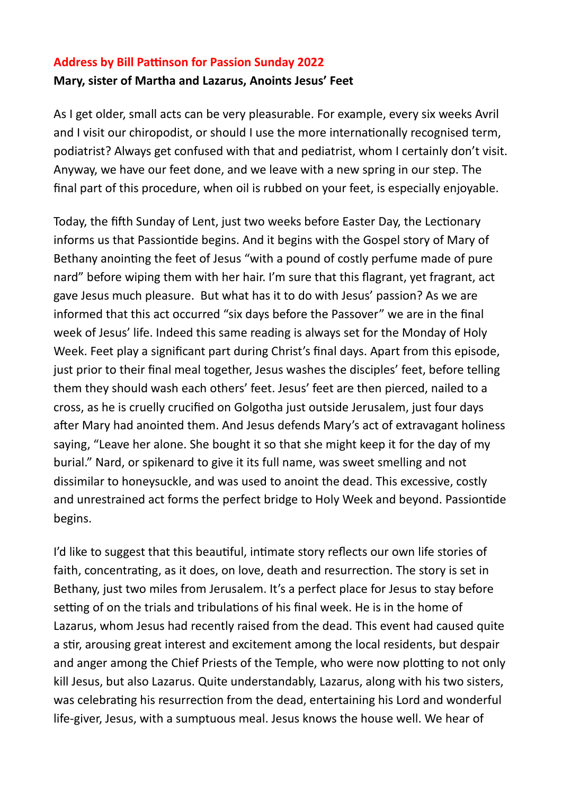## **Address by Bill Pattinson for Passion Sunday 2022 Mary, sister of Martha and Lazarus, Anoints Jesus' Feet**

As I get older, small acts can be very pleasurable. For example, every six weeks Avril and I visit our chiropodist, or should I use the more internationally recognised term, podiatrist? Always get confused with that and pediatrist, whom I certainly don't visit. Anyway, we have our feet done, and we leave with a new spring in our step. The final part of this procedure, when oil is rubbed on your feet, is especially enjoyable.

Today, the fifth Sunday of Lent, just two weeks before Easter Day, the Lectionary informs us that Passiontide begins. And it begins with the Gospel story of Mary of Bethany anointing the feet of Jesus "with a pound of costly perfume made of pure nard" before wiping them with her hair. I'm sure that this flagrant, yet fragrant, act gave Jesus much pleasure. But what has it to do with Jesus' passion? As we are informed that this act occurred "six days before the Passover" we are in the final week of Jesus' life. Indeed this same reading is always set for the Monday of Holy Week. Feet play a significant part during Christ's final days. Apart from this episode, just prior to their final meal together, Jesus washes the disciples' feet, before telling them they should wash each others' feet. Jesus' feet are then pierced, nailed to a cross, as he is cruelly crucified on Golgotha just outside Jerusalem, just four days after Mary had anointed them. And Jesus defends Mary's act of extravagant holiness saying, "Leave her alone. She bought it so that she might keep it for the day of my burial." Nard, or spikenard to give it its full name, was sweet smelling and not dissimilar to honeysuckle, and was used to anoint the dead. This excessive, costly and unrestrained act forms the perfect bridge to Holy Week and beyond. Passiontide begins.

I'd like to suggest that this beautiful, intimate story reflects our own life stories of faith, concentrating, as it does, on love, death and resurrection. The story is set in Bethany, just two miles from Jerusalem. It's a perfect place for Jesus to stay before setting of on the trials and tribulations of his final week. He is in the home of Lazarus, whom Jesus had recently raised from the dead. This event had caused quite a stir, arousing great interest and excitement among the local residents, but despair and anger among the Chief Priests of the Temple, who were now plotting to not only kill Jesus, but also Lazarus. Quite understandably, Lazarus, along with his two sisters, was celebrating his resurrection from the dead, entertaining his Lord and wonderful life-giver, Jesus, with a sumptuous meal. Jesus knows the house well. We hear of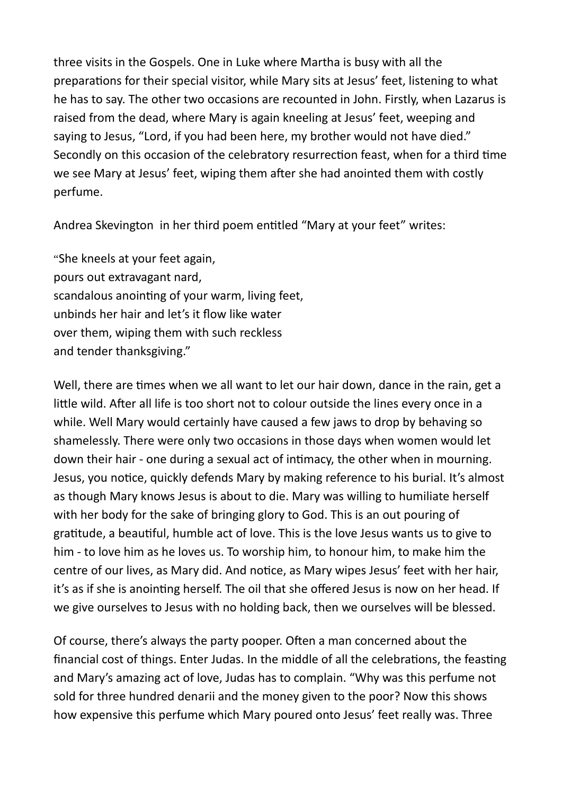three visits in the Gospels. One in Luke where Martha is busy with all the preparations for their special visitor, while Mary sits at Jesus' feet, listening to what he has to say. The other two occasions are recounted in John. Firstly, when Lazarus is raised from the dead, where Mary is again kneeling at Jesus' feet, weeping and saying to Jesus, "Lord, if you had been here, my brother would not have died." Secondly on this occasion of the celebratory resurrection feast, when for a third time we see Mary at Jesus' feet, wiping them after she had anointed them with costly perfume.

Andrea Skevington in her third poem entitled "Mary at your feet" writes:

"She kneels at your feet again, pours out extravagant nard, scandalous anointing of your warm, living feet, unbinds her hair and let's it flow like water over them, wiping them with such reckless and tender thanksgiving."

Well, there are times when we all want to let our hair down, dance in the rain, get a little wild. After all life is too short not to colour outside the lines every once in a while. Well Mary would certainly have caused a few jaws to drop by behaving so shamelessly. There were only two occasions in those days when women would let down their hair - one during a sexual act of intimacy, the other when in mourning. Jesus, you notice, quickly defends Mary by making reference to his burial. It's almost as though Mary knows Jesus is about to die. Mary was willing to humiliate herself with her body for the sake of bringing glory to God. This is an out pouring of gratitude, a beautiful, humble act of love. This is the love Jesus wants us to give to him - to love him as he loves us. To worship him, to honour him, to make him the centre of our lives, as Mary did. And notice, as Mary wipes Jesus' feet with her hair, it's as if she is anointing herself. The oil that she offered Jesus is now on her head. If we give ourselves to Jesus with no holding back, then we ourselves will be blessed.

Of course, there's always the party pooper. Often a man concerned about the financial cost of things. Enter Judas. In the middle of all the celebrations, the feasting and Mary's amazing act of love, Judas has to complain. "Why was this perfume not sold for three hundred denarii and the money given to the poor? Now this shows how expensive this perfume which Mary poured onto Jesus' feet really was. Three